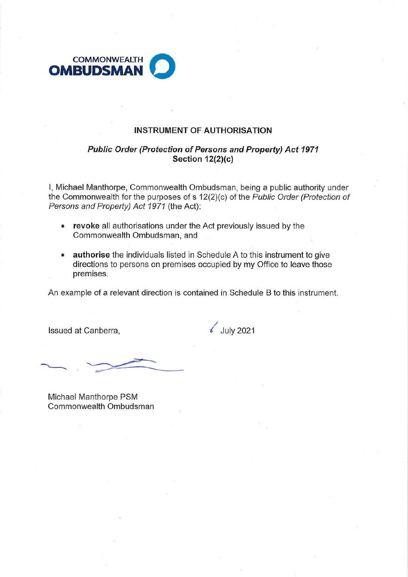

#### **INSTRUMENT OF AUTHORISATION**

### **Public Order (Protection of Persons and Property) Act 1971 Section 12(2)(c)**

I, Michael Manthorpe, Commonwealth Ombudsman, being a public authority under the Commonwealth for the purposes of s 12(2)(c) of the Public Order (Protection of Persons and Property) Act 1971 (the Act):

- **revoke** all authorisations under the Act previously issued by the Commonwealth Ombudsman, and
- **authorise** the individuals listed in Schedule A to this instrument to give directions to persons on premises occupied by my Office to leave those premises.

An example of a relevant direction is contained in Schedule B to this instrument.

Issued at Canberra,  $\sqrt{3}$  July 2021

Michael Manthorpe PSM Commonwealth Ombudsman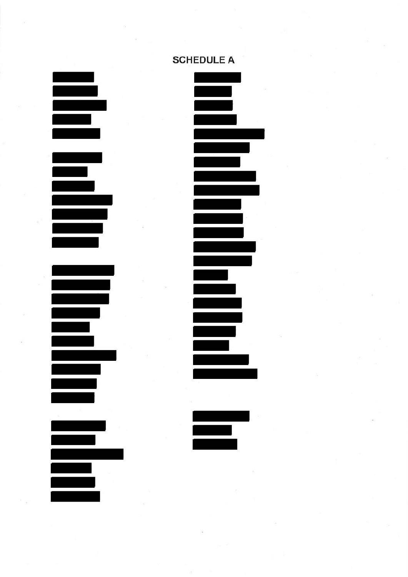

# **SCHEDULE A**